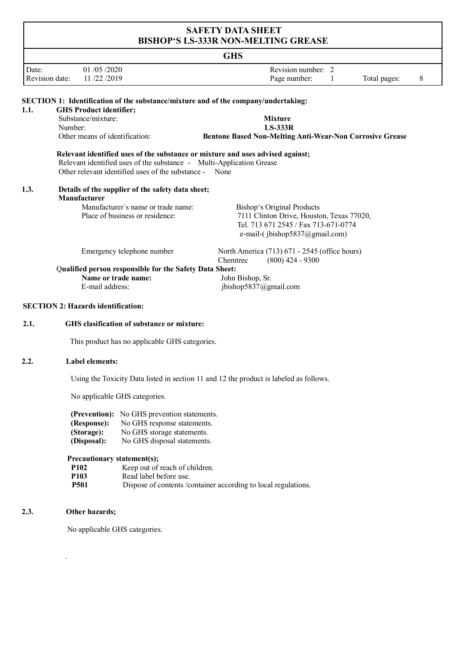|                         |                                                                                                                                | BISHUP `S LS-333K NUN-MELI ING GREASE                                                     |  |  |  |  |  |  |
|-------------------------|--------------------------------------------------------------------------------------------------------------------------------|-------------------------------------------------------------------------------------------|--|--|--|--|--|--|
| <b>GHS</b>              |                                                                                                                                |                                                                                           |  |  |  |  |  |  |
| Date:<br>Revision date: | 01 /05 /2020<br>11/22/2019                                                                                                     | Revision number: 2<br>$8\phantom{.0}$                                                     |  |  |  |  |  |  |
|                         |                                                                                                                                | Page number:<br>Total pages:<br>1                                                         |  |  |  |  |  |  |
|                         |                                                                                                                                | <b>SECTION 1: Identification of the substance/mixture and of the company/undertaking:</b> |  |  |  |  |  |  |
| 1.1.                    | <b>GHS Product identifier;</b>                                                                                                 |                                                                                           |  |  |  |  |  |  |
|                         | Substance/mixture:                                                                                                             | <b>Mixture</b>                                                                            |  |  |  |  |  |  |
| Number:                 |                                                                                                                                | <b>LS-333R</b>                                                                            |  |  |  |  |  |  |
|                         | Other means of identification:                                                                                                 | Bentone Based Non-Melting Anti-Wear-Non Corrosive Grease                                  |  |  |  |  |  |  |
|                         | Relevant identified uses of the substance - Multi-Application Grease<br>Other relevant identified uses of the substance - None | Relevant identified uses of the substance or mixture and uses advised against;            |  |  |  |  |  |  |
| 1.3.                    | Details of the supplier of the safety data sheet;<br>Manufacturer                                                              |                                                                                           |  |  |  |  |  |  |
|                         | Manufacturer's name or trade name:                                                                                             | Bishop's Original Products                                                                |  |  |  |  |  |  |
|                         | Place of business or residence:                                                                                                | 7111 Clinton Drive, Houston, Texas 77020,<br>Tel. 713 671 2545 / Fax 713-671-0774         |  |  |  |  |  |  |
|                         |                                                                                                                                | e-mail-(jbishop5837@gmail.com)                                                            |  |  |  |  |  |  |
|                         | Emergency telephone number                                                                                                     | North America (713) 671 - 2545 (office hours)<br>$(800)$ 424 - 9300<br>Chemtrec           |  |  |  |  |  |  |
|                         | Qualified person responsible for the Safety Data Sheet:                                                                        |                                                                                           |  |  |  |  |  |  |
|                         | Name or trade name:                                                                                                            | John Bishop, Sr.                                                                          |  |  |  |  |  |  |
|                         | E-mail address:                                                                                                                | jbishop5837@gmail.com                                                                     |  |  |  |  |  |  |
|                         | <b>SECTION 2: Hazards identification:</b>                                                                                      |                                                                                           |  |  |  |  |  |  |
| 2.1.                    | GHS clasification of substance or mixture:                                                                                     |                                                                                           |  |  |  |  |  |  |
|                         | This product has no applicable GHS categories.                                                                                 |                                                                                           |  |  |  |  |  |  |
| 2.2.                    | <b>Label elements:</b>                                                                                                         |                                                                                           |  |  |  |  |  |  |
|                         |                                                                                                                                | Using the Toxicity Data listed in section 11 and 12 the product is labeled as follows.    |  |  |  |  |  |  |
|                         | No applicable GHS categories.                                                                                                  |                                                                                           |  |  |  |  |  |  |
|                         | (Prevention): No GHS prevention statements.                                                                                    |                                                                                           |  |  |  |  |  |  |
|                         | (Response):<br>No GHS response statements.                                                                                     |                                                                                           |  |  |  |  |  |  |
|                         | (Storage):<br>No GHS storage statements.                                                                                       |                                                                                           |  |  |  |  |  |  |
|                         | No GHS disposal statements.<br>(Disposal):                                                                                     |                                                                                           |  |  |  |  |  |  |
|                         |                                                                                                                                |                                                                                           |  |  |  |  |  |  |

# **Precautionary statement(s);**

| P <sub>102</sub> | Keep out of reach of children.                                  |
|------------------|-----------------------------------------------------------------|
| P103             | Read label before use.                                          |
| <b>P501</b>      | Dispose of contents / container according to local regulations. |

#### $2.3.$ **2.3. Other hazards;**

.

No applicable GHS categories.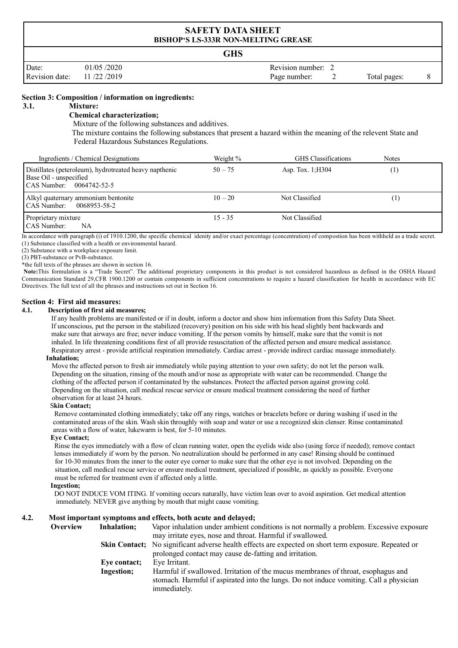| <b>SAFETY DATA SHEET</b><br><b>BISHOP'S LS-333R NON-MELTING GREASE</b> |                          |  |                                    |  |              |  |
|------------------------------------------------------------------------|--------------------------|--|------------------------------------|--|--------------|--|
|                                                                        | <b>GHS</b>               |  |                                    |  |              |  |
| Date:<br>Revision date:                                                | 01/05/2020<br>11/22/2019 |  | Revision number: 2<br>Page number: |  | Total pages: |  |

## **Section 3: Composition / information on ingredients:**

#### **3.1. Mixture:**

## **Chemical characterization;**

Mixture of the following substances and additives.

The mixture contains the following substances that present a hazard within the meaning of the relevent State and Federal Hazardous Substances Regulations.

| Ingredients / Chemical Designations                                                                                             | Weight %  | <b>GHS</b> Classifications | Notes             |  |
|---------------------------------------------------------------------------------------------------------------------------------|-----------|----------------------------|-------------------|--|
| Distillates (peteroleum), hydrotreated heavy napthenic<br>Base Oil - unspecified<br>$\text{CAS Number:} \quad 0064742 - 52 - 5$ | $50 - 75$ | Asp. Tox. $1;H304$         | $\left( 1\right)$ |  |
| Alkyl quaternary ammonium bentonite<br>CAS Number: 0068953-58-2                                                                 | $10 - 20$ | Not Classified             |                   |  |
| Proprietary mixture<br><b>CAS</b> Number:<br>NA                                                                                 | $15 - 35$ | Not Classified             |                   |  |

In accordance with paragraph (i) of 1910.1200, the specific chemical idenity and/or exact percentage (concentration) of compostion has been withheld as a trade secret. (1) Substance classified with a health or environmental hazard.

(2) Substance with a workplace exposure limit.

(3) PBT-substance or PvB-substance.

\*the full texts of the phrases are shown in section 16.

**Note:**This formulation is a "Trade Secret". The additional proprietary components in this product is not considered hazardous as defined in the OSHA Hazard Communication Standard 29,CFR 1900.1200 or contain components in sufficient concentrations to require a hazard classification for health in accordance with EC Directives. The full text of all the phrases and instructions set out in Section 16.

## **Section 4: First aid measures:**

#### **4.1. Description of first aid measures;**

If any health problems are manifested or if in doubt, inform a doctor and show him information from this Safety Data Sheet. If unconscious, put the person in the stabilized (recovery) position on his side with his head slightly bent backwards and make sure that airways are free; never induce vomiting. If the person vomits by himself, make sure that the vomit is not inhaled. In life threatening conditions first of all provide resuscitation of the affected person and ensure medical assistance. Respiratory arrest - provide artificial respiration immediately. Cardiac arrest - provide indirect cardiac massage immediately.

#### **Inhalation;**

 Move the affected person to fresh air immediately while paying attention to your own safety; do not let the person walk. Depending on the situation, rinsing of the mouth and/or nose as appropriate with water can be recommended. Change the clothing of the affected person if contaminated by the substances. Protect the affected person against growing cold. Depending on the situation, call medical rescue service or ensure medical treatment considering the need of further observation for at least 24 hours.

#### S**kin Contact;**

 Remove contaminated clothing immediately; take off any rings, watches or bracelets before or during washing if used in the contaminated areas of the skin. Wash skin throughly with soap and water or use a recognized skin clenser. Rinse contaminated areas with a flow of water, lukewarm is best, for 5-10 minutes.

#### **Eye Contact;**

 Rinse the eyes immediately with a flow of clean running water, open the eyelids wide also (using force if needed); remove contact lenses immediately if worn by the person. No neutralization should be performed in any case! Rinsing should be continued for 10-30 minutes from the inner to the outer eye corner to make sure that the other eye is not involved. Depending on the situation, call medical rescue service or ensure medical treatment, specialized if possible, as quickly as possible. Everyone must be referred for treatment even if affected only a little.

#### **Ingestion;**

DO NOT INDUCE VOM ITING. If vomiting occurs naturally, have victim lean over to avoid aspiration. Get medical attention immediately. NEVER give anything by mouth that might cause vomiting.

#### **4.2. Most important symptoms and effects, both acute and delayed;**

| <b>Overview</b> | Inhalation;  | Vapor inhalation under ambient conditions is not normally a problem. Excessive exposure                                                                                                    |
|-----------------|--------------|--------------------------------------------------------------------------------------------------------------------------------------------------------------------------------------------|
|                 |              | may irritate eyes, nose and throat. Harmful if swallowed.                                                                                                                                  |
|                 |              | <b>Skin Contact</b> ; No significant adverse health effects are expected on short term exposure. Repeated or                                                                               |
|                 |              | prolonged contact may cause de-fatting and irritation.                                                                                                                                     |
|                 | Eye contact; | Eye Irritant.                                                                                                                                                                              |
|                 | Ingestion;   | Harmful if swallowed. Irritation of the mucus membranes of throat, esophagus and<br>stomach. Harmful if aspirated into the lungs. Do not induce vomiting. Call a physician<br>immediately. |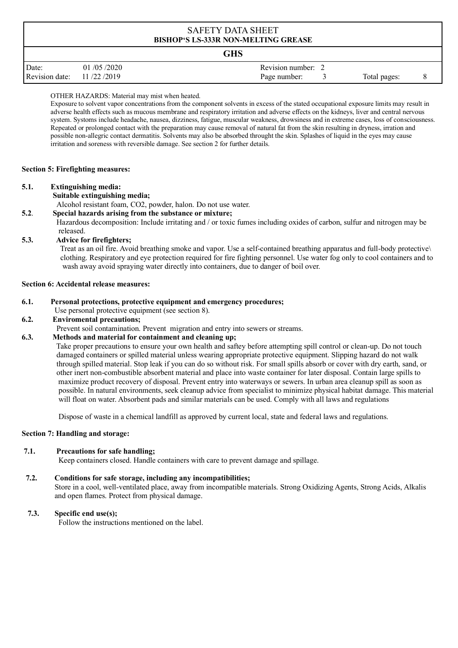# **GHS**

|                           |            | ---------        |              |  |
|---------------------------|------------|------------------|--------------|--|
| Date:                     | 01/05/2020 | Revision number: |              |  |
| Revision date: 11/22/2019 |            | Page number:     | Total pages: |  |

## OTHER HAZARDS: Material may mist when heated.

Exposure to solvent vapor concentrations from the component solvents in excess of the stated occupational exposure limits may result in adverse health effects such as mucous membrane and respiratory irritation and adverse effects on the kidneys, liver and central nervous system. Systoms include headache, nausea, dizziness, fatigue, muscular weakness, drowsiness and in extreme cases, loss of consciousness. Repeated or prolonged contact with the preparation may cause removal of natural fat from the skin resulting in dryness, irration and possible non-allegric contact dermatitis. Solvents may also be absorbed throught the skin. Splashes of liquid in the eyes may cause irritation and soreness with reversible damage. See section 2 for further details.

## **Section 5: Firefighting measures:**

## **5.1. Extinguishing media:**

 **Suitable extinguishing media;**

Alcohol resistant foam, CO2, powder, halon. Do not use water.

**5.2**. **Special hazards arising from the substance or mixture;**

Hazardous decomposition: Include irritating and / or toxic fumes including oxides of carbon, sulfur and nitrogen may be released.

## **5.3. Advice for firefighters;**

 Treat as an oil fire. Avoid breathing smoke and vapor. Use a self-contained breathing apparatus and full-body protective\ clothing. Respiratory and eye protection required for fire fighting personnel. Use water fog only to cool containers and to wash away avoid spraying water directly into containers, due to danger of boil over.

## **Section 6: Accidental release measures:**

## **6.1. Personal protections, protective equipment and emergency procedures;**

Use personal protective equipment (see section 8).

## **6.2. Enviromental precautions;**

Prevent soil contamination. Prevent migration and entry into sewers or streams.

## **6.3. Methods and material for containment and cleaning up;**

 Take proper precautions to ensure your own health and saftey before attempting spill control or clean-up. Do not touch damaged containers or spilled material unless wearing appropriate protective equipment. Slipping hazard do not walk through spilled material. Stop leak if you can do so without risk. For small spills absorb or cover with dry earth, sand, or other inert non-combustible absorbent material and place into waste container for later disposal. Contain large spills to maximize product recovery of disposal. Prevent entry into waterways or sewers. In urban area cleanup spill as soon as possible. In natural environments, seek cleanup advice from specialist to minimize physical habitat damage. This material will float on water. Absorbent pads and similar materials can be used. Comply with all laws and regulations

Dispose of waste in a chemical landfill as approved by current local, state and federal laws and regulations.

## **Section 7: Handling and storage:**

## **7.1. Precautions for safe handling;**

Keep containers closed. Handle containers with care to prevent damage and spillage.

# **7.2. Conditions for safe storage, including any incompatibilities;**

Store in a cool, well-ventilated place, away from incompatible materials. Strong Oxidizing Agents, Strong Acids, Alkalis and open flames. Protect from physical damage.

# **7.3. Specific end use(s);**

Follow the instructions mentioned on the label.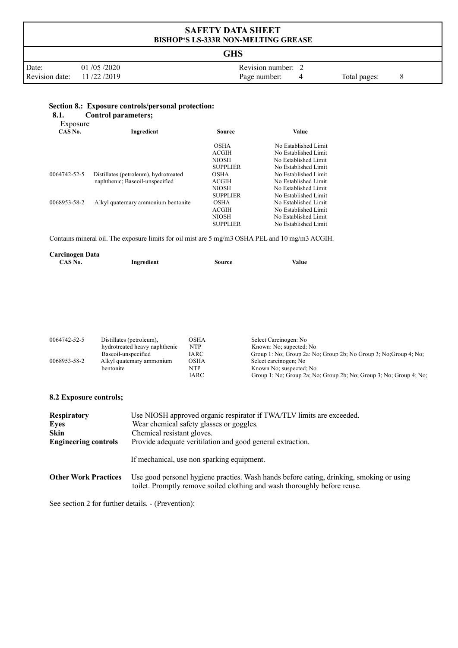|                         | <b>SAFETY DATA SHEET</b><br><b>BISHOP'S LS-333R NON-MELTING GREASE</b> |                                    |                   |  |  |  |
|-------------------------|------------------------------------------------------------------------|------------------------------------|-------------------|--|--|--|
|                         | <b>GHS</b>                                                             |                                    |                   |  |  |  |
| Date:<br>Revision date: | 01/05/2020<br>11/22/2019                                               | Revision number: 2<br>Page number: | Total pages:<br>8 |  |  |  |

# **Section 8.: Exposure controls/personal protection:**<br>8.1. Control parameters;

**1.** Control parameters;

| Exposure     |                                       |                 |                      |
|--------------|---------------------------------------|-----------------|----------------------|
| CAS No.      | Ingredient                            | <b>Source</b>   | Value                |
|              |                                       | <b>OSHA</b>     | No Established Limit |
|              |                                       | ACGIH           | No Established Limit |
|              |                                       | <b>NIOSH</b>    | No Established Limit |
|              |                                       | <b>SUPPLIER</b> | No Established Limit |
| 0064742-52-5 | Distillates (petroleum), hydrotreated | <b>OSHA</b>     | No Established Limit |
|              | naphthenic; Baseoil-unspecified       | ACGIH           | No Established Limit |
|              |                                       | <b>NIOSH</b>    | No Established Limit |
|              |                                       | <b>SUPPLIER</b> | No Established Limit |
| 0068953-58-2 | Alkyl quaternary ammonium bentonite   | <b>OSHA</b>     | No Established Limit |
|              |                                       | ACGIH           | No Established Limit |
|              |                                       | <b>NIOSH</b>    | No Established Limit |
|              |                                       | <b>SUPPLIER</b> | No Established Limit |

Contains mineral oil. The exposure limits for oil mist are 5 mg/m3 OSHA PEL and 10 mg/m3 ACGIH.

| <b>Carcinogen Data</b> |            |        |       |
|------------------------|------------|--------|-------|
| CAS No.                | Ingredient | Source | Value |
|                        |            |        |       |

| 0064742-52-5 | Distillates (petroleum),      | OSHA | Select Carcinogen: No                                              |
|--------------|-------------------------------|------|--------------------------------------------------------------------|
|              | hydrotreated heavy naphthenic | NTP  | Known: No; supected: No                                            |
|              | Baseoil-unspecified           | IARC | Group 1: No; Group 2a: No; Group 2b; No Group 3; No; Group 4; No;  |
| 0068953-58-2 | Alkyl quatemary ammonium      | OSHA | Select carcinogen; No                                              |
|              | bentonite                     | NTP  | Known No; suspected; No                                            |
|              |                               | IARC | Group 1; No; Group 2a; No; Group 2b; No; Group 3; No; Group 4; No; |

## **8.2 Exposure controls;**

| <b>Respiratory</b>          | Use NIOSH approved organic respirator if TWA/TLV limits are exceeded.                                                                                                 |
|-----------------------------|-----------------------------------------------------------------------------------------------------------------------------------------------------------------------|
| <b>Eyes</b>                 | Wear chemical safety glasses or goggles.                                                                                                                              |
| Skin                        | Chemical resistant gloves.                                                                                                                                            |
| <b>Engineering controls</b> | Provide adequate veritilation and good general extraction.                                                                                                            |
|                             | If mechanical, use non sparking equipment.                                                                                                                            |
| <b>Other Work Practices</b> | Use good personel hygiene practies. Wash hands before eating, drinking, smoking or using<br>toilet. Promptly remove soiled clothing and wash thoroughly before reuse. |

See section 2 for further details. - (Prevention):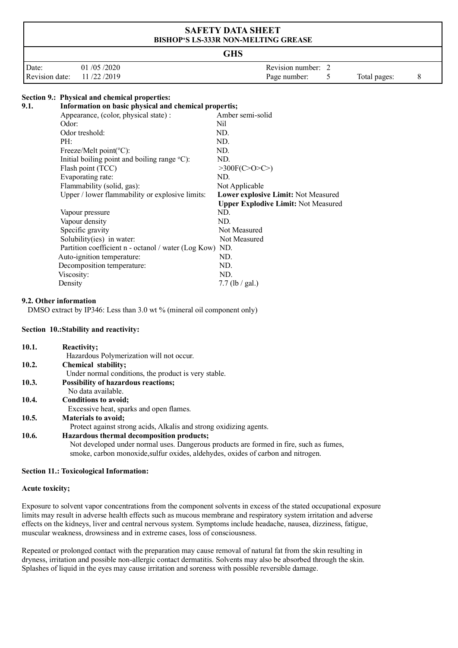|                | <b>SAFETY DATA SHEET</b><br><b>BISHOP'S LS-333R NON-MELTING GREASE</b> |                    |  |              |  |  |  |
|----------------|------------------------------------------------------------------------|--------------------|--|--------------|--|--|--|
|                | <b>GHS</b>                                                             |                    |  |              |  |  |  |
| Date:          | 01/05/2020                                                             | Revision number: 2 |  |              |  |  |  |
| Revision date: | 11/22/2019                                                             | Page number:       |  | Total pages: |  |  |  |

# **Section 9.: Physical and chemical properties:**

| 9.1. | Information on basic physical and chemical propertis;           |                                            |  |  |  |
|------|-----------------------------------------------------------------|--------------------------------------------|--|--|--|
|      | Appearance, (color, physical state) :                           | Amber semi-solid                           |  |  |  |
|      | Odor:                                                           | Nil                                        |  |  |  |
|      | Odor treshold:                                                  | ND.                                        |  |  |  |
|      | PH:                                                             | ND.                                        |  |  |  |
|      | Freeze/Melt point( ${}^{\circ}$ C):                             | ND.                                        |  |  |  |
|      | Initial boiling point and boiling range $\mathrm{^{\circ}C}$ ): | ND.                                        |  |  |  |
|      | Flash point (TCC)                                               | >300F(C>0>C)                               |  |  |  |
|      | Evaporating rate:                                               | ND.                                        |  |  |  |
|      | Flammability (solid, gas):                                      | Not Applicable                             |  |  |  |
|      | Upper / lower flammability or explosive limits:                 | Lower explosive Limit: Not Measured        |  |  |  |
|      |                                                                 | <b>Upper Explodive Limit: Not Measured</b> |  |  |  |
|      | Vapour pressure                                                 | ND.                                        |  |  |  |
|      | Vapour density                                                  | ND.                                        |  |  |  |
|      | Specific gravity                                                | Not Measured                               |  |  |  |
|      | Solubility(ies) in water:                                       | Not Measured                               |  |  |  |
|      | Partition coefficient n - octanol / water (Log Kow) ND.         |                                            |  |  |  |
|      | Auto-ignition temperature:                                      | ND.                                        |  |  |  |
|      | Decomposition temperature:                                      | ND.                                        |  |  |  |
|      | Viscosity:                                                      | ND.                                        |  |  |  |
|      | Density                                                         | $7.7$ (lb / gal.)                          |  |  |  |

## **9.2. Other information**

DMSO extract by IP346: Less than 3.0 wt % (mineral oil component only)

## **Section 10.:Stability and reactivity:**

| 10.1. | Reactivity;                                                                            |
|-------|----------------------------------------------------------------------------------------|
|       | Hazardous Polymerization will not occur.                                               |
| 10.2. | Chemical stability;                                                                    |
|       | Under normal conditions, the product is very stable.                                   |
| 10.3. | <b>Possibility of hazardous reactions;</b>                                             |
|       | No data available.                                                                     |
| 10.4. | Conditions to avoid;                                                                   |
|       | Excessive heat, sparks and open flames.                                                |
| 10.5. | <b>Materials to avoid;</b>                                                             |
|       | Protect against strong acids, Alkalis and strong oxidizing agents.                     |
| 10.6. | Hazardous thermal decomposition products;                                              |
|       | Not developed under normal uses. Dangerous products are formed in fire, such as fumes, |
|       | smoke, carbon monoxide, sulfur oxides, aldehydes, oxides of carbon and nitrogen.       |
|       |                                                                                        |

## **Section 11.: Toxicological Information:**

## **Acute toxicity;**

Exposure to solvent vapor concentrations from the component solvents in excess of the stated occupational exposure limits may result in adverse health effects such as mucous membrane and respiratory system irritation and adverse effects on the kidneys, liver and central nervous system. Symptoms include headache, nausea, dizziness, fatigue, muscular weakness, drowsiness and in extreme cases, loss of consciousness.

Repeated or prolonged contact with the preparation may cause removal of natural fat from the skin resulting in dryness, irritation and possible non-allergic contact dermatitis. Solvents may also be absorbed through the skin. Splashes of liquid in the eyes may cause irritation and soreness with possible reversible damage.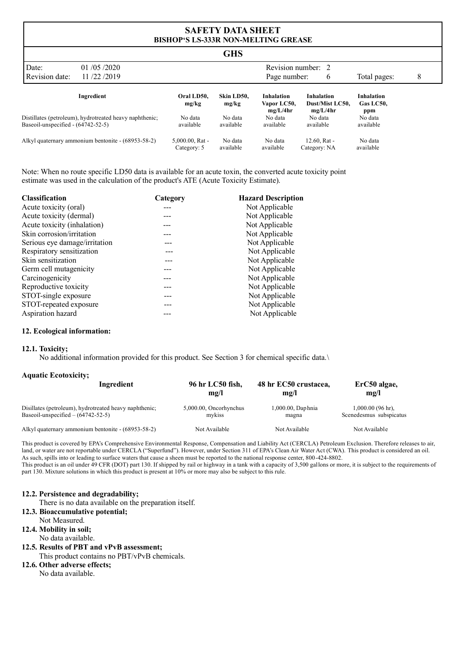| <b>GHS</b>                          |                                                         |                                   |                      |                                       |                                           |                                |   |
|-------------------------------------|---------------------------------------------------------|-----------------------------------|----------------------|---------------------------------------|-------------------------------------------|--------------------------------|---|
| Date:                               | 01/05/2020                                              | Revision number: 2                |                      |                                       |                                           |                                |   |
| Revision date:                      | 11/22/2019                                              |                                   |                      | Page number:                          | 6                                         | Total pages:                   | 8 |
|                                     | Ingredient                                              | Oral LD50,<br>mg/kg               | Skin LD50,<br>mg/kg  | Inhalation<br>Vapor LC50,<br>mg/L/4hr | Inhalation<br>Dust/Mist LC50.<br>mg/L/4hr | Inhalation<br>Gas LC50,<br>ppm |   |
| Baseoil-unspecified $-(64742-52-5)$ | Distillates (petroleum), hydrotreated heavy naphthenic; | No data<br>available              | No data<br>available | No data<br>available                  | No data<br>available                      | No data<br>available           |   |
|                                     | Alkyl quaternary ammonium bentonite - (68953-58-2)      | $5,000.00$ , Rat -<br>Category: 5 | No data<br>available | No data<br>available                  | $12.60$ , Rat -<br>Category: NA           | No data<br>available           |   |

Note: When no route specific LD50 data is available for an acute toxin, the converted acute toxicity point estimate was used in the calculation of the product's ATE (Acute Toxicity Estimate).

| <b>Classification</b>         | Category | <b>Hazard Description</b> |
|-------------------------------|----------|---------------------------|
| Acute toxicity (oral)         |          | Not Applicable            |
| Acute toxicity (dermal)       |          | Not Applicable            |
| Acute toxicity (inhalation)   |          | Not Applicable            |
| Skin corrosion/irritation     |          | Not Applicable            |
| Serious eye damage/irritation |          | Not Applicable            |
| Respiratory sensitization     |          | Not Applicable            |
| Skin sensitization            |          | Not Applicable            |
| Germ cell mutagenicity        |          | Not Applicable            |
| Carcinogenicity               |          | Not Applicable            |
| Reproductive toxicity         |          | Not Applicable            |
| STOT-single exposure          |          | Not Applicable            |
| STOT-repeated exposure        |          | Not Applicable            |
| Aspiration hazard             |          | Not Applicable            |
|                               |          |                           |

## **12. Ecological information:**

### **12.1. Toxicity;**

No additional information provided for this product. See Section 3 for chemical specific data.\

## **Aquatic Ecotoxicity;**

| Ingredient                                             | 96 hr LC50 fish,       | 48 hr EC50 crustacea, | ErC50 algae,            |
|--------------------------------------------------------|------------------------|-----------------------|-------------------------|
|                                                        | mg/l                   | mg/l                  | mg/l                    |
| Disillates (petroleum), hydrotreated heavy naphthenic; | 5,000.00, Oncorhynchus | 1,000.00, Daphnia     | $1,000.00$ (96 hr),     |
| Baseoil-unspecified $- (64742 - 52 - 5)$               | mykiss                 | magna                 | Scenedesmus subspicatus |
| Alkyl quaternary ammonium bentonite - (68953-58-2)     | Not Available          | Not Available         | Not Available           |

This product is covered by EPA's Comprehensive Environmental Response, Compensation and Liability Act (CERCLA) Petroleum Exclusion. Therefore releases to air, land, or water are not reportable under CERCLA ("Superfund"). However, under Section 311 of EPA's Clean Air Water Act (CWA). This product is considered an oil. As such, spills into or leading to surface waters that cause a sheen must be reported to the national response center, 800-424-8802.

This product is an oil under 49 CFR (DOT) part 130. If shipped by rail or highway in a tank with a capacity of 3,500 gallons or more, it is subject to the requirements of part 130. Mixture solutions in which this product is present at 10% or more may also be subject to this rule.

#### **12.2. Persistence and degradability;**

There is no data available on the preparation itself.

## **12.3. Bioaccumulative potential;**

- Not Measured.
- **12.4. Mobility in soil;**

## No data available.

- **12.5. Results of PBT and vPvB assessment;** This product contains no PBT/vPvB chemicals.
- **12.6. Other adverse effects;** No data available.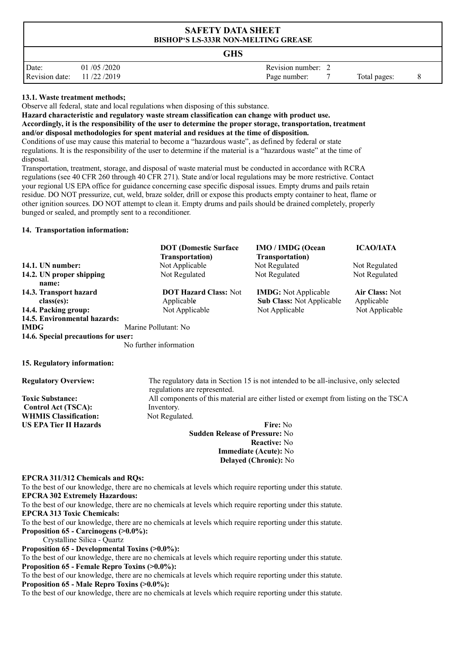| <b>SAFETY DATA SHEET</b><br><b>BISHOP'S LS-333R NON-MELTING GREASE</b> |                          |                                                    |  |  |
|------------------------------------------------------------------------|--------------------------|----------------------------------------------------|--|--|
| GHS                                                                    |                          |                                                    |  |  |
| Date:<br>Revision date:                                                | 01/05/2020<br>11/22/2019 | Revision number: 2<br>Page number:<br>Total pages: |  |  |

## **13.1. Waste treatment methods;**

Observe all federal, state and local regulations when disposing of this substance.

**Hazard characteristic and regulatory waste stream classification can change with product use.**

**Accordingly, it is the responsibility of the user to determine the proper storage, transportation, treatment and/or disposal methodologies for spent material and residues at the time of disposition.**

Conditions of use may cause this material to become a "hazardous waste", as defined by federal or state regulations. It is the responsibility of the user to determine if the material is a "hazardous waste" at the time of disposal.

Transportation, treatment, storage, and disposal of waste material must be conducted in accordance with RCRA regulations (see 40 CFR 260 through 40 CFR 271). State and/or local regulations may be more restrictive. Contact your regional US EPA office for guidance concerning case specific disposal issues. Empty drums and pails retain residue. DO NOT pressurize, cut, weld, braze solder, drill or expose this products empty container to heat, flame or other ignition sources. DO NOT attempt to clean it. Empty drums and pails should be drained completely, properly bunged or sealed, and promptly sent to a reconditioner.

## **14. Transportation information:**

|                                         | <b>DOT</b> (Domestic Surface<br><b>Transportation</b> )                                                              | <b>IMO / IMDG (Ocean</b><br><b>Transportation</b> )             | <b>ICAO/IATA</b>             |  |  |
|-----------------------------------------|----------------------------------------------------------------------------------------------------------------------|-----------------------------------------------------------------|------------------------------|--|--|
| 14.1. UN number:                        | Not Applicable                                                                                                       | Not Regulated                                                   | Not Regulated                |  |  |
| 14.2. UN proper shipping<br>name:       | Not Regulated                                                                                                        | Not Regulated                                                   | Not Regulated                |  |  |
| 14.3. Transport hazard<br>$class(es)$ : | <b>DOT Hazard Class: Not</b><br>Applicable                                                                           | <b>IMDG:</b> Not Applicable<br><b>Sub Class: Not Applicable</b> | Air Class: Not<br>Applicable |  |  |
| 14.4. Packing group:                    | Not Applicable                                                                                                       | Not Applicable                                                  | Not Applicable               |  |  |
| 14.5. Environmental hazards:            |                                                                                                                      |                                                                 |                              |  |  |
| <b>IMDG</b>                             | Marine Pollutant: No                                                                                                 |                                                                 |                              |  |  |
| 14.6. Special precautions for user:     | No further information                                                                                               |                                                                 |                              |  |  |
| 15. Regulatory information:             |                                                                                                                      |                                                                 |                              |  |  |
| <b>Regulatory Overview:</b>             | The regulatory data in Section 15 is not intended to be all-inclusive, only selected<br>regulations are represented. |                                                                 |                              |  |  |
| <b>Toxic Substance:</b>                 | All components of this material are either listed or exempt from listing on the TSCA                                 |                                                                 |                              |  |  |
| <b>Control Act (TSCA):</b>              | Inventory.                                                                                                           |                                                                 |                              |  |  |
| <b>WHMIS Classification:</b>            | Not Regulated.                                                                                                       |                                                                 |                              |  |  |
| <b>US EPA Tier II Hazards</b>           | Fire: No                                                                                                             |                                                                 |                              |  |  |
|                                         | <b>Sudden Release of Pressure: No</b>                                                                                |                                                                 |                              |  |  |
|                                         | <b>Reactive:</b> No                                                                                                  |                                                                 |                              |  |  |
|                                         | Immediate (Acute): No<br>Delayed (Chronic): No                                                                       |                                                                 |                              |  |  |

## **EPCRA 311/312 Chemicals and RQs:**

To the best of our knowledge, there are no chemicals at levels which require reporting under this statute. **EPCRA 302 Extremely Hazardous:**

To the best of our knowledge, there are no chemicals at levels which require reporting under this statute. **EPCRA 313 Toxic Chemicals:**

To the best of our knowledge, there are no chemicals at levels which require reporting under this statute. **Proposition 65 - Carcinogens (>0.0%):**

Crystalline Silica - Quartz

**Proposition 65 - Developmental Toxins (>0.0%):**

To the best of our knowledge, there are no chemicals at levels which require reporting under this statute. **Proposition 65 - Female Repro Toxins (>0.0%):**

To the best of our knowledge, there are no chemicals at levels which require reporting under this statute. **Proposition 65 - Male Repro Toxins (>0.0%):**

To the best of our knowledge, there are no chemicals at levels which require reporting under this statute.